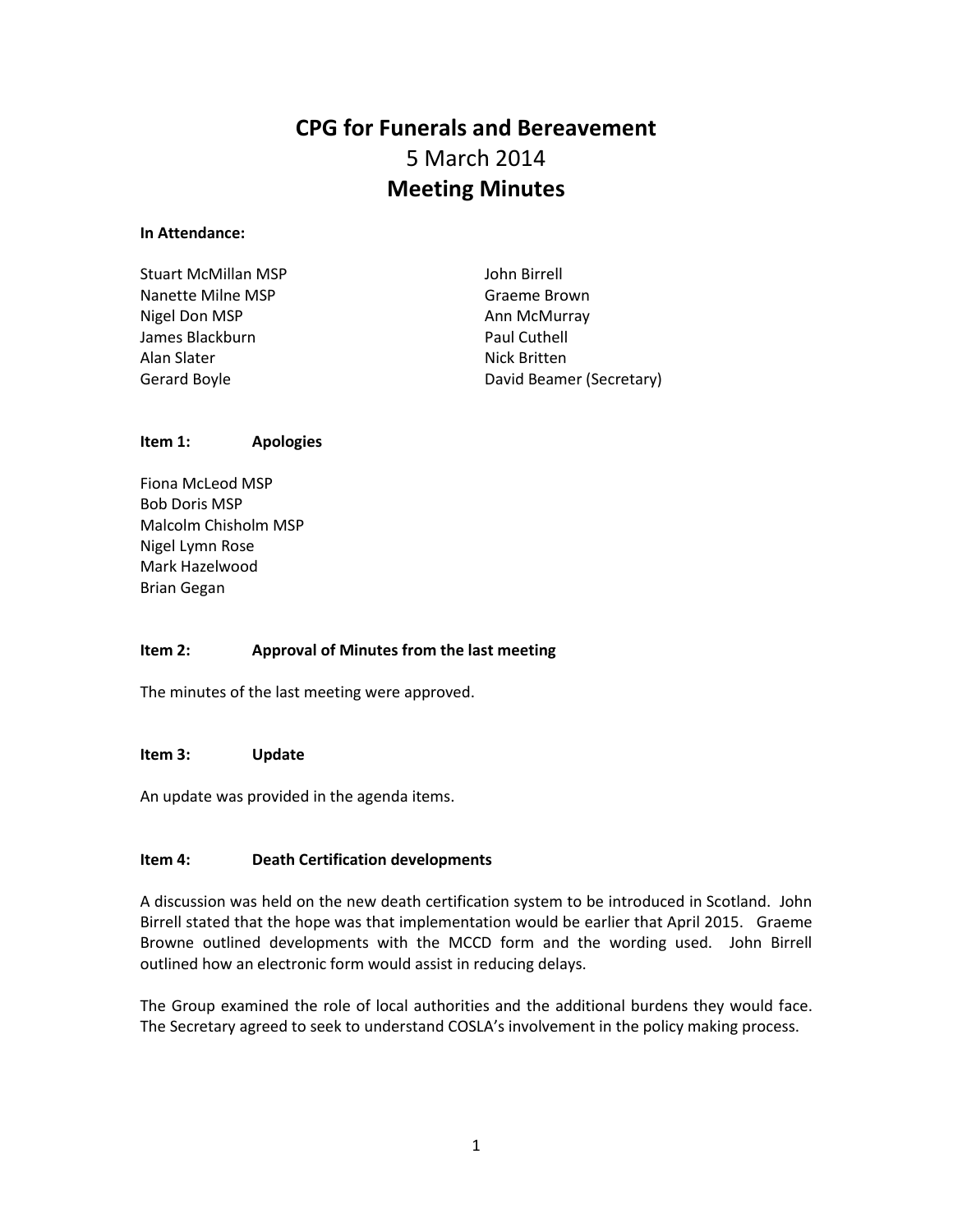# **CPG for Funerals and Bereavement** 5 March 2014 **Meeting Minutes**

# **In Attendance:**

| Stuart McMillan MSP | John Birrell             |
|---------------------|--------------------------|
| Nanette Milne MSP   | Graeme Brown             |
| Nigel Don MSP       | Ann McMurray             |
| James Blackburn     | Paul Cuthell             |
| Alan Slater         | Nick Britten             |
| Gerard Boyle        | David Beamer (Secretary) |
|                     |                          |

# **Item 1: Apologies**

Fiona McLeod MSP Bob Doris MSP Malcolm Chisholm MSP Nigel Lymn Rose Mark Hazelwood Brian Gegan

# **Item 2: Approval of Minutes from the last meeting**

The minutes of the last meeting were approved.

# **Item 3: Update**

An update was provided in the agenda items.

# **Item 4: Death Certification developments**

A discussion was held on the new death certification system to be introduced in Scotland. John Birrell stated that the hope was that implementation would be earlier that April 2015. Graeme Browne outlined developments with the MCCD form and the wording used. John Birrell outlined how an electronic form would assist in reducing delays.

The Group examined the role of local authorities and the additional burdens they would face. The Secretary agreed to seek to understand COSLA's involvement in the policy making process.